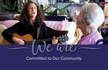# WEST T WU -

Committed to Our Community

a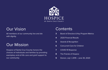

## **Our Vision Contents**

All members of our community live and die with dignity.

## Our Mission

Hospice of Santa Cruz County honors the choices of individuals and families by providing exemplary end-of-life care and grief support to our community.

- **3** Board of Directors & Key Program Metrics
- **4** 2020 Financial Results
- **5** Awards & Recognition
- **6** Concurrent Care for Children
- **7** COVID-19 Response
- **8** The Friends of Hospice
- **9** Donors: July 1, 2019 June 30, 2020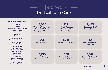

## Dedicated to Care

| <b>Board of Directors</b>                                                                                                                                                   |                                                                |                                                      |                                                               |
|-----------------------------------------------------------------------------------------------------------------------------------------------------------------------------|----------------------------------------------------------------|------------------------------------------------------|---------------------------------------------------------------|
| <b>Richard Clark</b><br>President                                                                                                                                           | 4,045<br><b>Volunteer Visitor Hours</b>                        | 129<br><b>Patients Received</b>                      | 2,485<br><b>Community Grief</b>                               |
| <b>Julia Muennich Cowell PhD, RN,</b><br><b>FNASN, FAAN</b><br><b>Vice President</b>                                                                                        | <b>Supported Patients,</b><br><b>Caregivers &amp; Families</b> | <b>Transitional &amp;</b><br><b>Palliative Care</b>  | <b>Support Sessions</b>                                       |
| <b>Timothy Ulen</b><br><b>Treasurer</b>                                                                                                                                     |                                                                |                                                      |                                                               |
| <b>Cara DeSimone</b><br>Secretary/Parliamentarian                                                                                                                           | 205                                                            | 1,035                                                | 43                                                            |
| <b>Robert Kaswen</b><br>Immediate Past President                                                                                                                            | <b>Veterans Served</b>                                         | <b>Hospice Patients Served</b>                       | <b>Children Attended</b><br><b>Camp Erin</b> <sup>©</sup>     |
| <b>Michael Allard</b><br><b>Holly Alexander</b>                                                                                                                             |                                                                |                                                      |                                                               |
| <b>Garry Crummer, MD</b><br><b>Beth Hansman</b><br><b>David Kluger</b><br><b>Daisy Nuñez</b><br><b>Ed Sacks, MD</b><br><b>Sharon Tapper, MD</b><br><b>Kuntal Thaker, MD</b> | 1,735<br><b>Music Therapy</b><br><b>Sessions Provided</b>      | 550<br><b>Telehealth Sessions</b><br><b>Provided</b> | 1,514<br><b>Community Education</b><br><b>Event Attendees</b> |
| <b>Cathy Conway</b>                                                                                                                                                         |                                                                |                                                      |                                                               |

Chief Executive Officer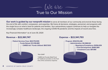

**Our work is guided by our nonprofit mission** to serve all members of our community and encircle those facing the end of life with comfort, compassion, and expertise. We frame all decisions, strategies, personnel, and programs with the single focus on what is best for patients and families. Your extraordinary support continues to help us navigate the increasingly complex healthcare landscape, the ongoing COVID-19 pandemic and the impacts of recent area fires.

Key Financial Information^ as of June 30, 2020

#### **Revenue – \$22,961,747 Expense – \$22,941,793**



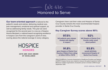

## Honored to Serve

**Our team-oriented approach** is tailored to the patient's needs and wishes, delivering medical care, pain management, emotional and spiritual support, as well as addressing family needs. This year we were recognized for the second year in a row as a Hospice Honors Recipient, a national award recognizing excellence in hospice care from the caregiver's point of view, scoring above the national average in every category.

## **HOSPICE HONORS**

**2019 AND 2020 AWARD OF EXCELLENCE**

Caregivers have cast their votes and Hospice of Santa Cruz County remains the most recommended hospice provider in Santa Cruz County.

#### **Key Caregiver Survey scores above 90%:**

**97.5% felt patients were always treated with dignity & respect**

**92% felt Hospice of Santa Cruz County really cared about patient**

**91.8% gave Hospice of Santa Cruz County a Patient Care rating of either 9/10 or 10/10**

**93.8% would definitely recommend Hospice of Santa Cruz County**

HEALTHCAREfirst's Consumer Assessment of Healthcare Providers and Systems (CAHPS®) Hospice Survey was created to measure the patient experience within Medicare-certified organizations. Evaluation period is October 2018 through September 2019.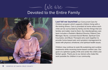## Devoted to the Entire Family (Ne are



**Last fall we launched** our Concurrent Care for Children program which supports children living with a life-limiting illness. Care is provided at home where each child can be surrounded by family and the things that are familiar and matter most to them. Our interdisciplinary care team includes a Pediatric Medical Director, Patient Care Manager, Nurse, Licensed Social Worker, Spiritual Care Counselor, and Music Therapist who work together to provide home-based pain and symptom management to assist with physical, emotional, and spiritual health issues.

Children may continue to seek life-sustaining and curative treatments while receiving home-based comfort care. Our goal is to optimize quality of life and center the child's and family's goals. Thank you to our donors who make this work possible for children in our community.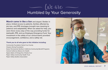# Humbled by Your Generosity De are

**March came in like a lion** and stayed. Shelter in place, limited access to patients, families affected by job loss, and PPE shortages brought new meaning to patience and adaptability. When we asked for help, you were there every step of the way providing funds for telehealth, PPE, and our Employee Emergency Fund. Your investment in the safety of our clinical teams provided encouragement, confidence, and a safety net.

#### **Thank you to all who gave to this initiative including:**

Community Foundation Santa Cruz County Hospice Giving Foundation Kaiser Permanente Northern California Community Benefit Programs Central California Alliance for Health Sigma Alpha of Omega Nu of Santa Cruz Pajaro Valley Community Health Trust Pajaro Valley Quilters Association

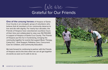

**One of the unsung heroes** of Hospice of Santa Cruz County is an energetic group of volunteers who believe that all members of our community deserve to live and die with dignity. For nearly four decades, the Friends of Hospice have volunteered countless hours of their time and collaborated to raise over \$2,700,000 in support of Hospice of Santa Cruz County. The Friends of Hospice put the fun in fundraising, bringing the community together for events that support Music Therapy, Camp Erin©, Grief Support, Palliative Care, Concurrent Care for Children, and Community Education.

We look forward to continuing to partner with the Friends of Hospice and to the time when we can all get together at events as soon as it's safe to do so.

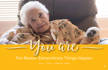# The Reason Extraordinary Things Happen The Reason Extraordinary Things Happen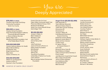## $\overline{\phantom{a}}$ Deeply Appreciated You are

#### **\$75,000 or more**

Caroline's Non Profit Thrift Shop Community Foundation Santa Cruz County

#### **\$50,000 or more**

Hospice Giving Foundation Kaiser Permanente Northern California Community Benefit Programs L. Patrick & Marilyn Brennan Kathryn Metz Trust Monterey Peninsula Foundation, host of the Pebble Beach Pro-Am

#### **\$20,000-\$49,999**

Central California Alliance for Health Mike & Bertie McElroy Ed Newman, Esq. Bright Horizons Fund Mary Solari Subaru of America, Inc

#### **\$10,000-\$19,999**

William & Lupe Burgstrom Andrea London (\*) Newman's Own Foundation

Frank & Zoe Ann Orr Fund Pajaro Valley Community Health Trust Physicians Medical Group of SCC Rowland & Pat Rebele Santa Cruz Cancer Benefit Group Gail & Edgar Thrift

#### **\$5,000-\$9,999**

Jacquie S. Baker (\*) Mark Chetkovich Michael E. Clark Joan Colonna Herb & Nancy Eder Eluna Judy Fredrickson Joyce & Vincent LoFranco (\*) Pipkin Family Foundation Brad Resetar Sue Sogard Staff of Life TouchPoint Foundation United Way of Santa Cruz County Claire Vilhauer Mary & George Herbert Zimmerman Foundation

#### **Angel Circle (\$1,000-\$2,499)**

Holly Alexander (\*) Toby & Michael Alexander Michael & Kalena Allard (\*) Judith Allen & Susan Seaburg Anonymous (P) Anonymous (\*) Jacquie S. Baker (P) Linda Barsanti-Downing & Dwayne Downing Kimberlee & Aaron Bartley Barbara & James Black (\*) Marilyn & Drew Calciano Camille Chase Dr. Agnes Chien & Dr. Howard Nelson (\*) Ceil Cirillo Richard & Ginny Clark (P) Bud & Rebecca Colligan Cathy Conway & Soma Goresky (\*) Freny Cooper Julia Muennich Cowell & Earl Cowell Mary Culley & Scott Smith James & Debra deDiego Cara DeSimone (P)(\*) Donald Dillingham Mark Donovan

Linda Donovan (P) Jennifer Drummond (\*) Robbie Dunton (\*) Herb & Nancy Eder Tom & Barbi Evenson Courtney Faulkner Alicia Flores (\*) Margaret Gordon (P) Ken Haber Matt & Beth Hansman Susanne Harris Kathleen Hughes & Kate McGirr (\*) Judi & Phil Humble Marilyn & Keith Humphrey Tim & Pam Humphreys Carolyn Hyatt Fred & JoLynne Jones Susan Kamprath Pamela Kangas Robert Kaswen Bob Katz & Leola Lapides-Katz David & Sharon Kluger (\*) Rachel Kuo Joyce & Vincent LoFranco (\*) Rose Machado Dr. Charlea T. Massion Michael K. McCawley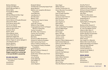Barbara McIntyre Carolyn & PJ Mecozzi Ruth & Michael Mehr (\*) Renee Mello Fred & Marilyn Miller Leta Miller Michael Milward & Ellen Vogt Ann Carney Pomper Susan Punches (\*) Donna Ramos & Douglas Brouwer Gloria & Eric Reed Ed & Norma Sacks (P)(\*) Karl & Lisa Segnitz Kieran & Coriander Shah Adam & Adina Shore Susanne Short Ruth E. Smith Elaine-Maryse Solari Ginny Solari Mazry (\*) Stephanie Suglian (P) Diane Syrcle & Susan Leo (\*) Sharon Tapper & James Spiegel (\*) Tim & Nicole Ulen (\*) Rachel Wedeen Esther Wilson (\*)

**Angel Circle donors commit to an annual gift of at least \$1,000 per year for three years. Perpetual Angels commit to an annual gift of at least \$1,000 in perpetuity.** 

#### **\$1,000-\$4,999**

Anonymous Givers Charitable Foundation Anonymous Anonymous

Elizabeth Beitzel The Benevity Community Impact Fund Randy Bertsch Mathew and Josephine Birnbaum Foundation Janet Bleecker Judy Boemer (\*) Ann Bornstein Marilyn Cahn Care from the Heart In Home Services (\*) Janice M. Cockren William & Cloy Codiga Congregational Church of Soquel Women's Fellowship Tammy Connelly (\*) Mr. & Mrs. Alex Conserva Cypress Ag Consulting Susan Donatelli (\*) Bob Early Suzanne & Mike Ebrahimian Howard & Catherine Essegian Faith Community Church Falcon Trading Company, Inc. The Finkelman Family Charitable Foundation Paula Fischer (\*) Michael & Sharon Flaherty (\*) Rachel Fontaine Sudhir Dass, Perfect Lotus Fund **Frontstream** Jerry Fryhling Curtis Galloway Olaf Geffken (\*) Shelley Gill Janie Gleghorn

Gary Gogol William Gorson Granite Construction Inc Green Mountain Foundation/ Maple House Dean & Sadie Hamilton Robert Hartmann Carolyn & Clark Heinrich Brian & Patti Herman Alan Hiromura Gary Hughes (\*) Ideal Homes Roger Ingham Jean and Ed Kelly Foundation Susan & Matt Kluger Akira Kodama Pat Krueger Betsy LaForge Theresa Landino James L Lewis Anonymous (\*) Randy & Tiffanni Maldonado (\*) Keith & Della McKenzie Debra & Jason Merson (\*) Chuck Michaelis Fred Miller George & Linda Moran Linda Murphy Emily & Chad Nahnsen Diane Nelson Pamela Nelson Kelly & Maria Nesheim Network for Good Michael O'Boy Steve Oneto Palo Alto Medical Foundation (\*) Dorothy Peck (\*) Perfect Lotus Fund Catherine & Karl Philipovitch Shirley & Howard Pickle (\*) Randy & Sally Repass Alan Ritch Santa Cruz Mountains Winegrowers Association Shadowbrook (\*) Andrew Shore Sigma Alpha of Omega Nu of Santa Cruz Barbara & Ron Sissom (\*) Sockshop & Shoe Company St. John the Baptist Church Gilbert & Mimi Stein (\*) Sweet Darling Sales, Inc. (\*) System Studies Incorporated Nancy & Bob Tamaki James Thompson (\*) Peter Vizzusi Dee Vogel & Lin Marelick Watsonville Coast Produce Watsonville Rotary Foundation Nancy & Hank Wempe Charlotte Williams Thomas Windsor (\*) George & Lois Wolfe (\*) Marian Zeidler

#### **\$500-\$999**

Aldina Real Estate Kate Alm Anonymous Anonymous (\*)

*(Continued)*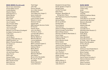#### **\$500-\$999 (Continued)**

Stan & Irene Antranikian Aromas Bible Church Cynthia Bartlett Stephen Bogner Sally Bookman (\*) Robert Bourke Mary Braham Maia Cahill Frank & Susan Capurro City of Capitola City of Scotts Valley Margaret Cordoza John & Lisa Cottle Jerry Cummings Renwick Curry & Nancy Knudegard De Mattei Construction (\*) Caitlin Deck Joan Delfino Joel Di Mauro George & Meredith Dies (\*) Digital Dynamics, Inc Mary & Thomas Dillenbeck Sue Draper (\*) Lee Duffus Sue Dunn Rob Elmore (\*) Catherine Essegian Jim and Susan Farrar Lillian Forcier Patti Foster Pamela Freitas Margaret Ann Garrison Mary Gaukel Forster Ellen & Eric Gil Ann Haberkorn

Todd Hager John Hall Dennis Hamada Ann & Bob Hestand Elisabet Hiatt Tom & Mary Ann Hogan (\*) Sylvia Holderman Thomas Holland Laurie & Peter Hunkel Roberta S. Hunter Shannon Hurley Harold Hyde IBM Employee Services Center Ed Kuerzel Harold LaFont Jane Lear-Myers Thomas A. Lehrer Cornell & Bill Littell (\*) Macy Family (\*) Merrilyn Marker (\*) Maureen McLean Connie McMeekin Nancy McNulty Mehl's Colonial Chapel (\*) Rick & Ruth Moe (\*) Kathleen Moniz Martin Morey Pam Moriarty Glenda Murray Marianne Musitelli Gary Nelson Bruce & Kris Neustadter Ms. Amy R. Newell Jay Noble Nordic Naturals (\*) Luisa Odermann

Elizabeth & Donald Olsen Pacific Gardens Chapel (\*) Randall Parker Cynthia Pensinger Robin Petrie Plumbers, Steamfitters & Refrigeration Fitters The Progressive Insurance Foundation **Philip Rice** Michael Robles Elio & Joy Rodoni Dorothy Ruby David Saldivar Janet Samson Santa Cruz Rotary Foundation (\*) Sante Arcangeli Family Wines Mark & Robyn Setzen Sherman and Boone Real Estate (\*) Susan Singer Kathie & Dale Sinor (\*) Catherine Smith Gary & Barbara Smith Emma Solden Shirley & Jim Spain Joanne & Dean Storkan (\*) Desiree Stuart-Alexander Stan & Fran Taylor Jim Thompson (\*) Jana Thomsen Stan & Dorothy Thues Adelle Tomash Patti & Mark Traugott **Truist** William Witmer (\*) Sally Territo Wong Judy Zolezzi (\*)

#### **\$250-\$499**

David & Carla Adams Colleen Alley ALZA Peggy Anastasi Yong Bai Edward & Kathleen Banks Linda Bates Tandy Beal & Jon Scoville David & Kristin Beccaria Marianne Beckwith Paul Bellina Stephen Bennett James Berg Carol Berman (\*) Kelly Bermudez-Deutsch (\*) Bridget Binko Pattie Blade Dina Blair (\*) Steve Bontadelli David Brockmann (\*) Dr. & Mrs. John C. Brokaw Mindi & Paul Broughton W Perry Bryant Karl Buchner John Bull Anthony & Sarah Butterfield (\*) Cabrillo Host Lions Club Bruce Canepa Mary Caravalho Penelope Carless Paul & Teresa Carrubba (\*) Patrick & Pamela Cerruti Stanley P. Chen Diane Comstock Barbara Corrigan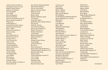Josie & Charles Cowden (\*) Christopher & Nancy Currier Robert & Diana Deacon Katalin & Jim Debord Kevin Delgadillo John Detlef Nancy Dilloughery Sharon Dirnberger Doris & Thomas Duncanson (\*) Rick & Colette Duquette (\*) Philip Duval Daidre Egerter (\*) Donelle Ehritt & Don Gartner Geoff & Sandy Eisenberg Edna T. Elkins Susan & Andy Eshkar (\*) Bonnie Faraola Jack Farr Amy & Bert Feliss (\*) Rhonda Ferguson (\*) Priscilla Foxx (\*) Tony Franceschini Karina Frazier Jeanette Garcia Janyce Geistdorfer Autumn Giovannone Susan Gorsky Allene Graham Jennifer Griffey Tim & Mary Griffin Joan Griffiths Mark Gyorey Joan Hamilton Christen Hanson Mr. & Mrs. William H. Harmon Jr. Harper Street Ink

Ken Helms & Kimberly Hallinan Sally & Frank Hewitt (\*) Gary & Cindy Hickey Wayne & Jennifer Hickey Marianne Houle Jaclyn Housner Marilyn Hyde Stephen & Barbara Jackel Tim Jackson Antoinette Jeffery Elizabeth & Peter Jeffery-Johnson Paul Jensen Gertie M. Johnson Joy Family Foundation Elaine & Frank Kamian (\*) Sarah & Tom Karn (\*) Natasha Katznelson Lisa Kaufman Marge & David Kiff (\*) Deborah Kleffer (\*) Mary Klein George & Diane Koenig Curtis Koppel Lorraine Krilanvich Ben Kunst Karen Kurokawa (\*) Elena & Sam Laborde-Bishop (\*) Lakeside Organic Gardens, LLC (\*) Bonnie & Bob Lange Valerie Leal (\*) Thomas & Barbara Lemmer (\*) Lynne Lenger Laura Lindahl Elizabeth Lobay Loma Prieta Club Benjamin & Ilse Lopes

Carolyn Lucas Roux Lucitt David Mader Radha J. Mallery Merrill J. Malvini Marc & Susan Mangel Dino Margaros Cynthia Margolin & Michael Bentzen Harvey Markovitz D.C. & Trisha Markovitz (\*) Amy Marlo Louis Marsalisi Mary J. May Stephanie & Neal Mayer Gayle Mayhew Jane Mclean (\*) Bill & Erin Miller (\*) Janet Moncrief Moore & Miller Insurance Agency (\*) Gary & Donna Moro (\*) Heather Morse (\*) Susan L. Mullin Don & Ida Mungai Joyce Muse Jed & Helen Myall Richard Nanas Jess & Patty Nelson (\*) Robert Nelson New Leaf Community Markets (\*) Harvey & Judy Nickelson Elizabeth & Gene Nite Sandi & Tim Olivier (\*) Thomas & Katherine Parker (\*) Greg Pavlovich Barbara & Matt Pearson (\*) Laura Pease

Phillip Porter Peter Pozanski William Prather Chris Rector Michael Reedy Bruce Reiss Ziggy Rendler-Bregman & Jesse Bregman RI Engineering Inc (\*) Deb Rider Jim & Barbara Rider Roy & Arlene Roberg Lea Robinson Pamela Roby Maria Rodriguez Cherri Rupert-Canfield Lisa Russo (\*) S. Strock & Co., Inc. Mark & Karen Sambrailo Walter Schillinger Joseph & Jan Schumb Maria Shanle Cheryl Smelt Rod & Carolyn Smith Archie J. Snider Paige Sohren Jeffrey & Dora Solinas Berdell & Mike Spellman (\*) Jan Spichtig Thomas & Bonnie Sprague (\*) Malio Stagnaro Cathy Stefanki & Don Iglesias (\*) Al Stevens James Stuart

*(Continued)*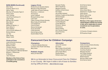#### **\$250-\$499 (Continued)**

Ellen Stuck Superior Alarm Co (\*) Nancy Talley Maureen & Fernando Tapiz (\*) Shana Taylor Jerry Thomas Jan & Fred Tomlinson (\*) Judy Treuge Michael Van Lienden Mary Warren Mary Wells William B. Weston, Jr. Rose White (\*) Steve Willeke Larry & Farnie Williams (\*) Richard Winner Lori Yee Abby Young Wayne Yurtin

#### **Circle of Care**

Leslie & Richard Andrews Mary Caravalho Barbara Collins Christen Hanson Ken Helms & Kimberly Hallinan Cynthia Margolin & Michael Bentzen Barbara J. Pedemonte Al Stevens Jana Thomsen

**Members of the Circle of Care participate in the convenience of monthly giving.**

#### **Legacy Circle**

Richard & Lani (Snyder) Adams Michael & Toby Alexander Judith Allen & Susan Seaburg Rosemary L. Anderson Anonymous Lynne Caldwell Richard & Ginny Clark Leah Clark Cathy Conway & Soma Goresky Mary Culley & Scott Smith Cara DeSimone Carol Di Pietro Sharon Dirnberger Susan Donatelli Linda Donovan Herb & Nancy Eder David & Babs Farrell

Ronaele Findley Wilma Gawthrop Margaret Gordon Kathleen & Kent Grave Ken Haber Ann & Bob Hestand Kathleen Hughes & Kate McGirr Pamela Kangas Marcia Keith David & Sharon Kluger Cynthia Margolin Louise McKenna Pamela E. Nelson Anonymous Sharon Parker Ann Carney Pomper Susan Punches Alan Ritch

Ed & Norma Sacks Anonymous Kathie Sinor Ginny Solari Mazry Stephanie A. Suglian Trust Diane Syrcle Monte Tudor-Long Rachel Wedeen George & Lois Wolfe

**Members of the Legacy Circle have named Hospice of Santa Cruz County in their will or estate plans to ensure exceptional care for generations to come.**

(\*) Friends of Hospice donors (P) Perpetual Angel

#### **Concurrent Care for Children Campaign**

#### **Champions**

L. Patrick & Marilyn Brennan Caroline's Non Profit Thrift Shop Mary Solari

#### **Pediatric Angels**

Nancy & Herb Eder

#### **Advocates**

Janice M. Cockren Eli Cohen Mary Culley & Scott Smith Joyce & Vincent LoFranco Ginny Solari Mazry Pamela Nelson Perfect Lotus Fund

#### **Companions**

Cathy Conway & Soma Goresky Susan Donatelli Linda Donovan & Jack Hain Courtney Faulkner Margaret Gordon Ann & Bob Hestand Judi & Phil Humble Robert Kaswen Bonnie & Bob Lange Ed & Norma Sacks

*We're so fortunate to have Concurrent Care for Children in our County. We hope it adds a bit of ease to families during difficult times. —Bob & Bonnie Lange*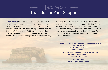## $\begin{array}{c} \hline \hline \end{array}$ Thankful for Your Support We are

**Thank you!** Hospice of Santa Cruz County is filled with appreciation and gratitude for you. Your generosity allows us to care for community members who have serious and life-limiting illness; to support them through the end of life and to comfort their grieving families. We are grateful for the compassionate, expert care our teams provide and the courage and professionalism they demonstrate each and every day. We are thankful for the healthcare community and their partnership in referring patients to us for their end-of-life care needs, allowing us to provide dignity and respect when it's needed most. And, we are so appreciative your thoughtfulness. We couldn't do this work without your ongoing support and contributions.

**The Mary & Richard Solari Center for Compassionate Care 940 Disc Drive Scotts Valley, CA 95066** (mailing address)

**The Borina Family Center for Compassionate Care 65 Nielson Street, Suite 121 Watsonville, CA 95076** 

> **(831) 430-3000 www.hospicesantacruz.org**